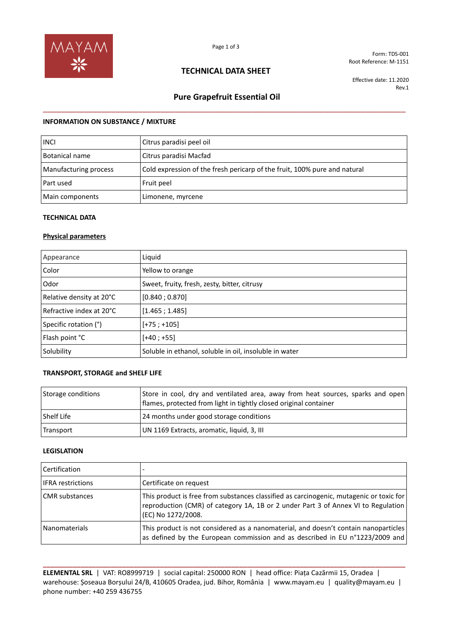

Form: TDS-001 Root Reference: M-1151

## **TECHNICAL DATA SHEET**

Effective date: 11.2020 Rev.1

# **Pure Grapefruit Essential Oil**  \_\_\_\_\_\_\_\_\_\_\_\_\_\_\_\_\_\_\_\_\_\_\_\_\_\_\_\_\_\_\_\_\_\_\_\_\_\_\_\_\_\_\_\_\_\_\_\_\_\_\_\_\_\_\_\_\_\_\_\_\_\_\_\_\_\_\_\_\_\_\_\_\_\_\_\_\_\_\_\_

### **INFORMATION ON SUBSTANCE / MIXTURE**

| <b>INCI</b>           | Citrus paradisi peel oil                                                  |
|-----------------------|---------------------------------------------------------------------------|
| Botanical name        | Citrus paradisi Macfad                                                    |
| Manufacturing process | Cold expression of the fresh pericarp of the fruit, 100% pure and natural |
| Part used             | Fruit peel                                                                |
| Main components       | Limonene, myrcene                                                         |

#### **TECHNICAL DATA**

### **Physical parameters**

| Appearance                 | Liquid                                                 |
|----------------------------|--------------------------------------------------------|
| Color                      | Yellow to orange                                       |
| Odor                       | Sweet, fruity, fresh, zesty, bitter, citrusy           |
| Relative density at 20°C   | [0.840; 0.870]                                         |
| l Refractive index at 20°C | [1.465; 1.485]                                         |
| Specific rotation (°)      | $[-75; +105]$                                          |
| Flash point °C             | $[+40; +55]$                                           |
| Solubility                 | Soluble in ethanol, soluble in oil, insoluble in water |

### **TRANSPORT, STORAGE and SHELF LIFE**

| Storage conditions | Store in cool, dry and ventilated area, away from heat sources, sparks and open<br>flames, protected from light in tightly closed original container |
|--------------------|------------------------------------------------------------------------------------------------------------------------------------------------------|
| <b>Shelf Life</b>  | 24 months under good storage conditions                                                                                                              |
| Transport          | UN 1169 Extracts, aromatic, liquid, 3, III                                                                                                           |

#### **LEGISLATION**

| <b>Certification</b>     |                                                                                                                                                                                                    |
|--------------------------|----------------------------------------------------------------------------------------------------------------------------------------------------------------------------------------------------|
| <b>IFRA</b> restrictions | Certificate on request                                                                                                                                                                             |
| <b>CMR</b> substances    | This product is free from substances classified as carcinogenic, mutagenic or toxic for<br>reproduction (CMR) of category 1A, 1B or 2 under Part 3 of Annex VI to Regulation<br>(EC) No 1272/2008. |
| Nanomaterials            | This product is not considered as a nanomaterial, and doesn't contain nanoparticles<br>as defined by the European commission and as described in EU n°1223/2009 and                                |

**ELEMENTAL SRL** | VAT: RO8999719 | social capital: 250000 RON | head office: Piața Cazărmii 15, Oradea | warehouse: Șoseaua Borșului 24/B, 410605 Oradea, jud. Bihor, România | www.mayam.eu | quality@mayam.eu | phone number: +40 259 436755

**\_\_\_\_\_\_\_\_\_\_\_\_\_\_\_\_\_\_\_\_\_\_\_\_\_\_\_\_\_\_\_\_\_\_\_\_\_\_\_\_\_\_\_\_\_\_\_\_\_\_\_\_\_\_\_\_\_\_\_\_\_\_\_\_\_\_\_\_\_\_\_\_\_\_\_\_\_\_\_\_\_\_\_\_\_\_\_\_\_\_\_\_\_\_\_\_**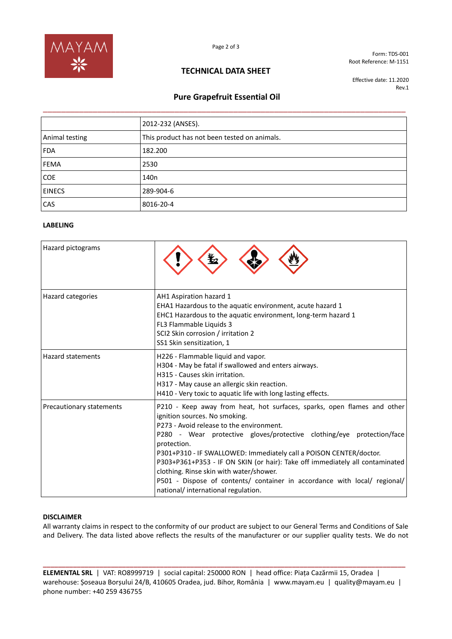

Form: TDS-001 Root Reference: M-1151

## **TECHNICAL DATA SHEET**

Effective date: 11.2020 Rev.1

## **Pure Grapefruit Essential Oil**

|                | 2012-232 (ANSES).                            |  |
|----------------|----------------------------------------------|--|
| Animal testing | This product has not been tested on animals. |  |
| <b>FDA</b>     | 182.200                                      |  |
| <b>FEMA</b>    | 2530                                         |  |
| <b>COE</b>     | 140 <sub>n</sub>                             |  |
| <b>EINECS</b>  | 289-904-6                                    |  |
| CAS            | 8016-20-4                                    |  |

### **LABELING**

| Hazard pictograms               |                                                                                                                                                                                                                                                                                                                                                                                                                                                                                                                                                                   |
|---------------------------------|-------------------------------------------------------------------------------------------------------------------------------------------------------------------------------------------------------------------------------------------------------------------------------------------------------------------------------------------------------------------------------------------------------------------------------------------------------------------------------------------------------------------------------------------------------------------|
| Hazard categories               | AH1 Aspiration hazard 1<br>EHA1 Hazardous to the aquatic environment, acute hazard 1<br>EHC1 Hazardous to the aquatic environment, long-term hazard 1<br>FL3 Flammable Liquids 3<br>SCI2 Skin corrosion / irritation 2<br>SS1 Skin sensitization, 1                                                                                                                                                                                                                                                                                                               |
| <b>Hazard statements</b>        | H226 - Flammable liquid and vapor.<br>H304 - May be fatal if swallowed and enters airways.<br>H315 - Causes skin irritation.<br>H317 - May cause an allergic skin reaction.<br>H410 - Very toxic to aquatic life with long lasting effects.                                                                                                                                                                                                                                                                                                                       |
| <b>Precautionary statements</b> | P210 - Keep away from heat, hot surfaces, sparks, open flames and other<br>ignition sources. No smoking.<br>P273 - Avoid release to the environment.<br>P280 - Wear protective gloves/protective clothing/eye protection/face<br>protection.<br>P301+P310 - IF SWALLOWED: Immediately call a POISON CENTER/doctor.<br>P303+P361+P353 - IF ON SKIN (or hair): Take off immediately all contaminated<br>clothing. Rinse skin with water/shower.<br>P501 - Dispose of contents/ container in accordance with local/ regional/<br>national/ international regulation. |

#### **DISCLAIMER**

All warranty claims in respect to the conformity of our product are subject to our General Terms and Conditions of Sale and Delivery. The data listed above reflects the results of the manufacturer or our supplier quality tests. We do not

**ELEMENTAL SRL** | VAT: RO8999719 | social capital: 250000 RON | head office: Piața Cazărmii 15, Oradea | warehouse: Șoseaua Borșului 24/B, 410605 Oradea, jud. Bihor, România | www.mayam.eu | quality@mayam.eu | phone number: +40 259 436755

**\_\_\_\_\_\_\_\_\_\_\_\_\_\_\_\_\_\_\_\_\_\_\_\_\_\_\_\_\_\_\_\_\_\_\_\_\_\_\_\_\_\_\_\_\_\_\_\_\_\_\_\_\_\_\_\_\_\_\_\_\_\_\_\_\_\_\_\_\_\_\_\_\_\_\_\_\_\_\_\_\_\_\_\_\_\_\_\_\_\_\_\_\_\_\_\_**